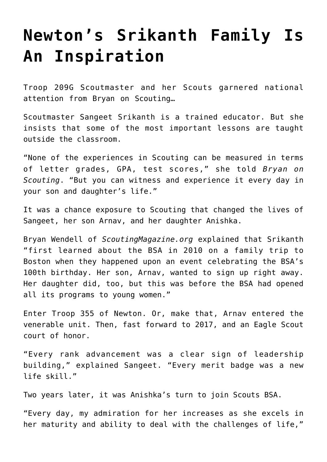## **[Newton's Srikanth Family Is](https://www.mayflowerbsa.org/newtons-srikanth-family-is-an-inspiration/) [An Inspiration](https://www.mayflowerbsa.org/newtons-srikanth-family-is-an-inspiration/)**

Troop 209G Scoutmaster and her Scouts garnered national attention from Bryan on Scouting…

Scoutmaster Sangeet Srikanth is a trained educator. But she insists that some of the most important lessons are taught outside the classroom.

"None of the experiences in Scouting can be measured in terms of letter grades, GPA, test scores," she told *[Bryan on](https://blog.scoutingmagazine.org/2022/04/05/journey-to-belonging/) [Scouting](https://blog.scoutingmagazine.org/2022/04/05/journey-to-belonging/)*. "But you can witness and experience it every day in your son and daughter's life."

It was a chance exposure to Scouting that changed the lives of Sangeet, her son Arnav, and her daughter Anishka.

[Bryan Wendell of](https://www.mayflowerbsa.org/free-planet-fitness-summer-membership-for-teens/) *[ScoutingMagazine.org](https://www.mayflowerbsa.org/free-planet-fitness-summer-membership-for-teens/)* [explained](https://www.mayflowerbsa.org/free-planet-fitness-summer-membership-for-teens/) that Srikanth "first learned about the BSA in 2010 on a family trip to Boston when they happened upon an event celebrating the BSA's 100th birthday. Her son, Arnav, wanted to sign up right away. Her daughter did, too, but this was before the BSA had opened all its programs to young women."

Enter Troop 355 of Newton. Or, make that, Arnav entered the venerable unit. Then, fast forward to 2017, and an Eagle Scout court of honor.

"Every rank advancement was a clear sign of leadership building," explained Sangeet. "Every merit badge was a new life skill."

Two years later, it was Anishka's turn to join Scouts BSA.

"Every day, my admiration for her increases as she excels in her maturity and ability to deal with the challenges of life,"